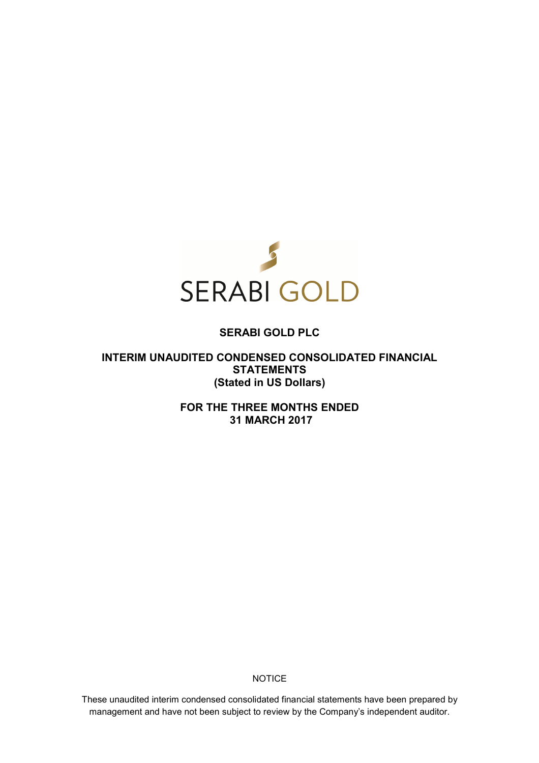

# **SERABI GOLD PLC**

**INTERIM UNAUDITED CONDENSED CONSOLIDATED FINANCIAL STATEMENTS (Stated in US Dollars)** 

> **FOR THE THREE MONTHS ENDED 31 MARCH 2017**

> > **NOTICE**

These unaudited interim condensed consolidated financial statements have been prepared by management and have not been subject to review by the Company's independent auditor.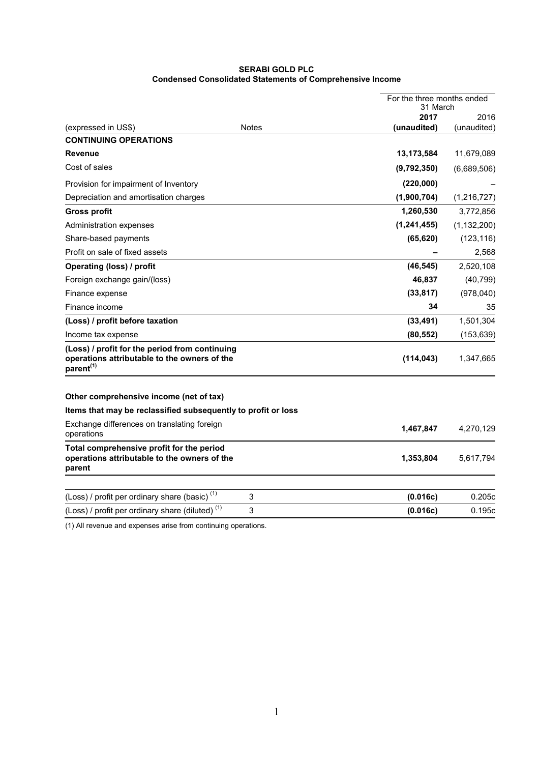# **SERABI GOLD PLC Condensed Consolidated Statements of Comprehensive Income**

|                                                                                                                         |              |               | For the three months ended<br>31 March |  |
|-------------------------------------------------------------------------------------------------------------------------|--------------|---------------|----------------------------------------|--|
|                                                                                                                         |              | 2017          | 2016                                   |  |
| (expressed in US\$)                                                                                                     | <b>Notes</b> | (unaudited)   | (unaudited)                            |  |
| <b>CONTINUING OPERATIONS</b>                                                                                            |              |               |                                        |  |
| <b>Revenue</b>                                                                                                          |              | 13,173,584    | 11,679,089                             |  |
| Cost of sales                                                                                                           |              | (9,792,350)   | (6,689,506)                            |  |
| Provision for impairment of Inventory                                                                                   |              | (220,000)     |                                        |  |
| Depreciation and amortisation charges                                                                                   |              | (1,900,704)   | (1,216,727)                            |  |
| <b>Gross profit</b>                                                                                                     |              | 1,260,530     | 3,772,856                              |  |
| Administration expenses                                                                                                 |              | (1, 241, 455) | (1, 132, 200)                          |  |
| Share-based payments                                                                                                    |              | (65, 620)     | (123, 116)                             |  |
| Profit on sale of fixed assets                                                                                          |              |               | 2,568                                  |  |
| Operating (loss) / profit                                                                                               |              | (46, 545)     | 2,520,108                              |  |
| Foreign exchange gain/(loss)                                                                                            |              | 46,837        | (40, 799)                              |  |
| Finance expense                                                                                                         |              | (33, 817)     | (978,040)                              |  |
| Finance income                                                                                                          |              | 34            | 35                                     |  |
| (Loss) / profit before taxation                                                                                         |              | (33, 491)     | 1,501,304                              |  |
| Income tax expense                                                                                                      |              | (80, 552)     | (153, 639)                             |  |
| (Loss) / profit for the period from continuing<br>operations attributable to the owners of the<br>parent <sup>(1)</sup> |              | (114, 043)    | 1,347,665                              |  |
| Other comprehensive income (net of tax)                                                                                 |              |               |                                        |  |
| Items that may be reclassified subsequently to profit or loss                                                           |              |               |                                        |  |
| Exchange differences on translating foreign<br>operations                                                               |              | 1,467,847     | 4,270,129                              |  |
| Total comprehensive profit for the period<br>operations attributable to the owners of the<br>parent                     |              | 1,353,804     | 5,617,794                              |  |
| (Loss) / profit per ordinary share (basic) <sup>(1)</sup>                                                               | 3            | (0.016c)      | 0.205c                                 |  |
| (Loss) / profit per ordinary share (diluted) <sup>(1)</sup>                                                             | 3            | (0.016c)      | 0.195c                                 |  |
|                                                                                                                         |              |               |                                        |  |

(1) All revenue and expenses arise from continuing operations.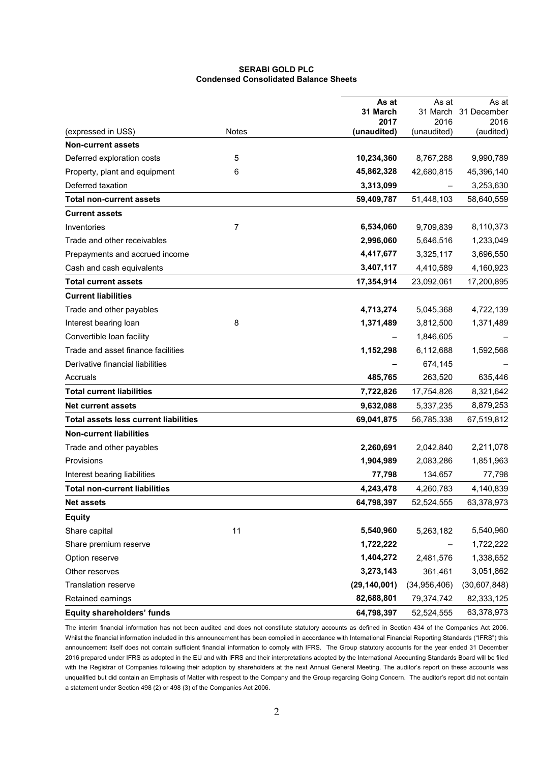# **SERABI GOLD PLC Condensed Consolidated Balance Sheets**

|                                              |              | As at            | As at            | As at               |
|----------------------------------------------|--------------|------------------|------------------|---------------------|
|                                              |              | 31 March<br>2017 | 31 March<br>2016 | 31 December<br>2016 |
| (expressed in US\$)                          | <b>Notes</b> | (unaudited)      | (unaudited)      | (audited)           |
| <b>Non-current assets</b>                    |              |                  |                  |                     |
| Deferred exploration costs                   | 5            | 10,234,360       | 8,767,288        | 9,990,789           |
| Property, plant and equipment                | 6            | 45,862,328       | 42,680,815       | 45,396,140          |
| Deferred taxation                            |              | 3,313,099        |                  | 3,253,630           |
| <b>Total non-current assets</b>              |              | 59,409,787       | 51,448,103       | 58,640,559          |
| <b>Current assets</b>                        |              |                  |                  |                     |
| Inventories                                  | 7            | 6,534,060        | 9,709,839        | 8,110,373           |
| Trade and other receivables                  |              | 2,996,060        | 5,646,516        | 1,233,049           |
| Prepayments and accrued income               |              | 4,417,677        | 3,325,117        | 3,696,550           |
| Cash and cash equivalents                    |              | 3,407,117        | 4,410,589        | 4,160,923           |
| Total current assets                         |              | 17,354,914       | 23,092,061       | 17,200,895          |
| <b>Current liabilities</b>                   |              |                  |                  |                     |
| Trade and other payables                     |              | 4,713,274        | 5,045,368        | 4,722,139           |
| Interest bearing loan                        | 8            | 1,371,489        | 3,812,500        | 1,371,489           |
| Convertible loan facility                    |              |                  | 1,846,605        |                     |
| Trade and asset finance facilities           |              | 1,152,298        | 6,112,688        | 1,592,568           |
| Derivative financial liabilities             |              |                  | 674,145          |                     |
| Accruals                                     |              | 485,765          | 263,520          | 635,446             |
| <b>Total current liabilities</b>             |              | 7,722,826        | 17,754,826       | 8,321,642           |
| <b>Net current assets</b>                    |              | 9,632,088        | 5,337,235        | 8,879,253           |
| <b>Total assets less current liabilities</b> |              | 69,041,875       | 56,785,338       | 67,519,812          |
| <b>Non-current liabilities</b>               |              |                  |                  |                     |
| Trade and other payables                     |              | 2,260,691        | 2,042,840        | 2,211,078           |
| Provisions                                   |              | 1,904,989        | 2,083,286        | 1,851,963           |
| Interest bearing liabilities                 |              | 77,798           | 134,657          | 77,798              |
| <b>Total non-current liabilities</b>         |              | 4,243,478        | 4,260,783        | 4,140,839           |
| <b>Net assets</b>                            |              | 64,798,397       | 52,524,555       | 63,378,973          |
| <b>Equity</b>                                |              |                  |                  |                     |
| Share capital                                | 11           | 5,540,960        | 5,263,182        | 5,540,960           |
| Share premium reserve                        |              | 1,722,222        |                  | 1,722,222           |
| Option reserve                               |              | 1,404,272        | 2,481,576        | 1,338,652           |
| Other reserves                               |              | 3,273,143        | 361,461          | 3,051,862           |
| <b>Translation reserve</b>                   |              | (29, 140, 001)   | (34,956,406)     | (30,607,848)        |
| Retained earnings                            |              | 82,688,801       | 79,374,742       | 82,333,125          |
| <b>Equity shareholders' funds</b>            |              | 64,798,397       | 52,524,555       | 63,378,973          |

The interim financial information has not been audited and does not constitute statutory accounts as defined in Section 434 of the Companies Act 2006. Whilst the financial information included in this announcement has been compiled in accordance with International Financial Reporting Standards ("IFRS") this announcement itself does not contain sufficient financial information to comply with IFRS. The Group statutory accounts for the year ended 31 December 2016 prepared under IFRS as adopted in the EU and with IFRS and their interpretations adopted by the International Accounting Standards Board will be filed with the Registrar of Companies following their adoption by shareholders at the next Annual General Meeting. The auditor's report on these accounts was unqualified but did contain an Emphasis of Matter with respect to the Company and the Group regarding Going Concern. The auditor's report did not contain a statement under Section 498 (2) or 498 (3) of the Companies Act 2006.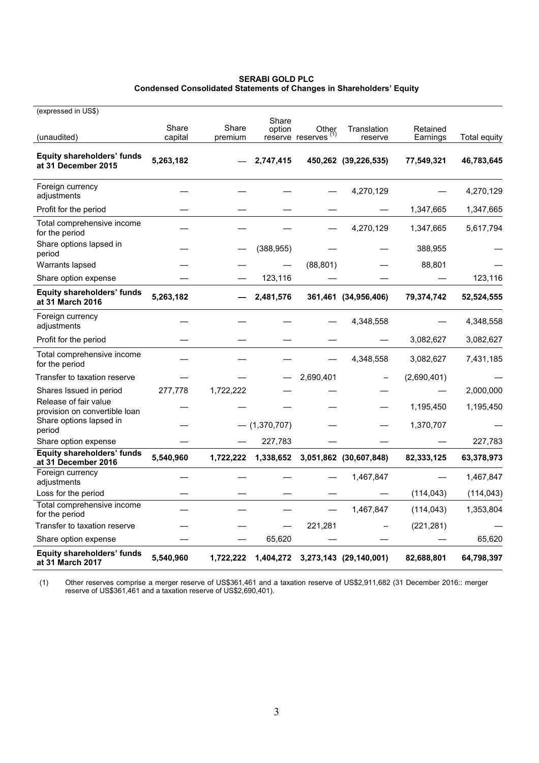### **SERABI GOLD PLC Condensed Consolidated Statements of Changes in Shareholders' Equity**

| (expressed in US\$)                                      |                  |                  |                 |                                                 |                        |                      |              |
|----------------------------------------------------------|------------------|------------------|-----------------|-------------------------------------------------|------------------------|----------------------|--------------|
| (unaudited)                                              | Share<br>capital | Share<br>premium | Share           | option Other<br>reserve reserves <sup>(1)</sup> | Translation<br>reserve | Retained<br>Earnings | Total equity |
| Equity shareholders' funds<br>at 31 December 2015        | 5,263,182        |                  | 2,747,415       |                                                 | 450,262 (39,226,535)   | 77,549,321           | 46,783,645   |
| Foreign currency<br>adjustments                          |                  |                  |                 |                                                 | 4,270,129              |                      | 4,270,129    |
| Profit for the period                                    |                  |                  |                 |                                                 |                        | 1,347,665            | 1,347,665    |
| Total comprehensive income<br>for the period             |                  |                  |                 |                                                 | 4,270,129              | 1,347,665            | 5,617,794    |
| Share options lapsed in<br>period                        |                  |                  | (388, 955)      |                                                 |                        | 388,955              |              |
| Warrants lapsed                                          |                  |                  |                 | (88, 801)                                       |                        | 88,801               |              |
| Share option expense                                     |                  |                  | 123,116         |                                                 |                        |                      | 123,116      |
| Equity shareholders' funds<br>at 31 March 2016           | 5,263,182        |                  | 2,481,576       |                                                 | 361,461 (34,956,406)   | 79,374,742           | 52,524,555   |
| Foreign currency<br>adjustments                          |                  |                  |                 |                                                 | 4,348,558              |                      | 4,348,558    |
| Profit for the period                                    |                  |                  |                 |                                                 |                        | 3,082,627            | 3,082,627    |
| Total comprehensive income<br>for the period             |                  |                  |                 |                                                 | 4,348,558              | 3,082,627            | 7,431,185    |
| Transfer to taxation reserve                             |                  |                  |                 | 2,690,401                                       |                        | (2,690,401)          |              |
| Shares Issued in period                                  | 277,778          | 1,722,222        |                 |                                                 |                        |                      | 2,000,000    |
| Release of fair value<br>provision on convertible loan   |                  |                  |                 |                                                 |                        | 1,195,450            | 1,195,450    |
| Share options lapsed in<br>period                        |                  |                  | $-$ (1,370,707) |                                                 |                        | 1,370,707            |              |
| Share option expense                                     |                  |                  | 227,783         |                                                 |                        |                      | 227,783      |
| <b>Equity shareholders' funds</b><br>at 31 December 2016 | 5,540,960        | 1,722,222        | 1,338,652       |                                                 | 3,051,862 (30,607,848) | 82,333,125           | 63,378,973   |
| Foreign currency<br>adjustments                          |                  |                  |                 |                                                 | 1,467,847              |                      | 1,467,847    |
| Loss for the period                                      |                  |                  |                 |                                                 |                        | (114, 043)           | (114, 043)   |
| Total comprehensive income<br>for the period             |                  |                  |                 |                                                 | 1,467,847              | (114, 043)           | 1,353,804    |
| Transfer to taxation reserve                             |                  |                  |                 | 221,281                                         |                        | (221, 281)           |              |
| Share option expense                                     |                  |                  | 65,620          |                                                 |                        |                      | 65,620       |
| Equity shareholders' funds<br>at 31 March 2017           | 5,540,960        | 1,722,222        | 1,404,272       |                                                 | 3,273,143 (29,140,001) | 82,688,801           | 64,798,397   |

(1) Other reserves comprise a merger reserve of US\$361,461 and a taxation reserve of US\$2,911,682 (31 December 2016:: merger reserve of US\$361,461 and a taxation reserve of US\$2,690,401).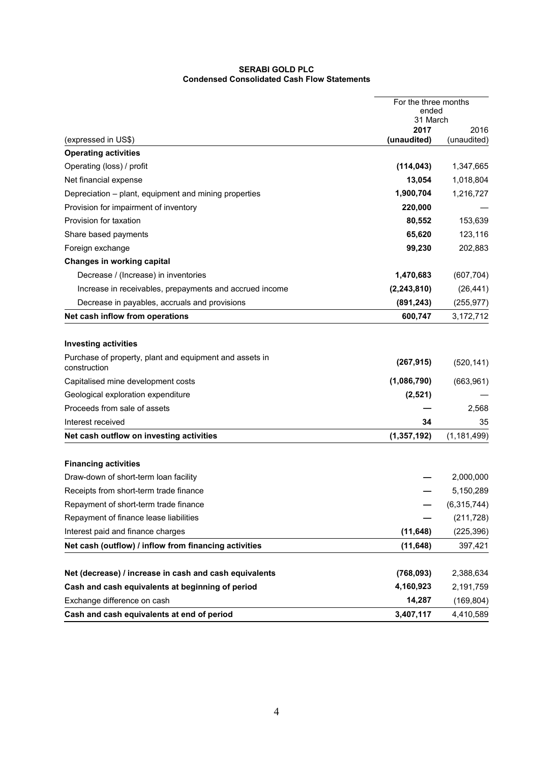### **SERABI GOLD PLC Condensed Consolidated Cash Flow Statements**

|                                                                         | For the three months<br>ended<br>31 March |               |
|-------------------------------------------------------------------------|-------------------------------------------|---------------|
|                                                                         | 2017                                      | 2016          |
| (expressed in US\$)                                                     | (unaudited)                               | (unaudited)   |
| <b>Operating activities</b>                                             |                                           |               |
| Operating (loss) / profit                                               | (114, 043)                                | 1,347,665     |
| Net financial expense                                                   | 13,054                                    | 1,018,804     |
| Depreciation - plant, equipment and mining properties                   | 1,900,704                                 | 1,216,727     |
| Provision for impairment of inventory                                   | 220,000                                   |               |
| Provision for taxation                                                  | 80,552                                    | 153,639       |
| Share based payments                                                    | 65,620                                    | 123,116       |
| Foreign exchange                                                        | 99,230                                    | 202,883       |
| <b>Changes in working capital</b>                                       |                                           |               |
| Decrease / (Increase) in inventories                                    | 1,470,683                                 | (607, 704)    |
| Increase in receivables, prepayments and accrued income                 | (2, 243, 810)                             | (26, 441)     |
| Decrease in payables, accruals and provisions                           | (891, 243)                                | (255, 977)    |
| Net cash inflow from operations                                         | 600,747                                   | 3,172,712     |
|                                                                         |                                           |               |
| <b>Investing activities</b>                                             |                                           |               |
| Purchase of property, plant and equipment and assets in<br>construction | (267, 915)                                | (520, 141)    |
| Capitalised mine development costs                                      | (1,086,790)                               | (663, 961)    |
| Geological exploration expenditure                                      | (2,521)                                   |               |
| Proceeds from sale of assets                                            |                                           | 2,568         |
| Interest received                                                       | 34                                        | 35            |
| Net cash outflow on investing activities                                | (1, 357, 192)                             | (1, 181, 499) |
| <b>Financing activities</b>                                             |                                           |               |
| Draw-down of short-term loan facility                                   |                                           | 2,000,000     |
| Receipts from short-term trade finance                                  |                                           | 5,150,289     |
| Repayment of short-term trade finance                                   |                                           | (6,315,744)   |
| Repayment of finance lease liabilities                                  |                                           | (211, 728)    |
| Interest paid and finance charges                                       | (11, 648)                                 | (225, 396)    |
| Net cash (outflow) / inflow from financing activities                   | (11, 648)                                 | 397,421       |
|                                                                         |                                           |               |
| Net (decrease) / increase in cash and cash equivalents                  | (768, 093)                                | 2,388,634     |
| Cash and cash equivalents at beginning of period                        | 4,160,923                                 | 2,191,759     |
| Exchange difference on cash                                             | 14,287                                    | (169, 804)    |
| Cash and cash equivalents at end of period                              | 3,407,117                                 | 4,410,589     |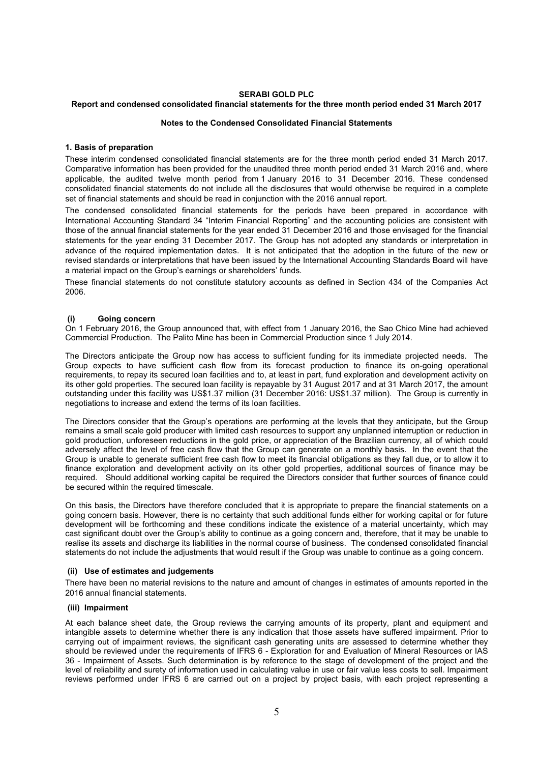# **SERABI GOLD PLC**

# **Report and condensed consolidated financial statements for the three month period ended 31 March 2017**

### **Notes to the Condensed Consolidated Financial Statements**

### **1. Basis of preparation**

These interim condensed consolidated financial statements are for the three month period ended 31 March 2017. Comparative information has been provided for the unaudited three month period ended 31 March 2016 and, where applicable, the audited twelve month period from 1 January 2016 to 31 December 2016. These condensed consolidated financial statements do not include all the disclosures that would otherwise be required in a complete set of financial statements and should be read in conjunction with the 2016 annual report.

The condensed consolidated financial statements for the periods have been prepared in accordance with International Accounting Standard 34 "Interim Financial Reporting" and the accounting policies are consistent with those of the annual financial statements for the year ended 31 December 2016 and those envisaged for the financial statements for the year ending 31 December 2017. The Group has not adopted any standards or interpretation in advance of the required implementation dates. It is not anticipated that the adoption in the future of the new or revised standards or interpretations that have been issued by the International Accounting Standards Board will have a material impact on the Group's earnings or shareholders' funds.

These financial statements do not constitute statutory accounts as defined in Section 434 of the Companies Act 2006.

### **(i) Going concern**

On 1 February 2016, the Group announced that, with effect from 1 January 2016, the Sao Chico Mine had achieved Commercial Production. The Palito Mine has been in Commercial Production since 1 July 2014.

The Directors anticipate the Group now has access to sufficient funding for its immediate projected needs. The Group expects to have sufficient cash flow from its forecast production to finance its on-going operational requirements, to repay its secured loan facilities and to, at least in part, fund exploration and development activity on its other gold properties. The secured loan facility is repayable by 31 August 2017 and at 31 March 2017, the amount outstanding under this facility was US\$1.37 million (31 December 2016: US\$1.37 million). The Group is currently in negotiations to increase and extend the terms of its loan facilities.

The Directors consider that the Group's operations are performing at the levels that they anticipate, but the Group remains a small scale gold producer with limited cash resources to support any unplanned interruption or reduction in gold production, unforeseen reductions in the gold price, or appreciation of the Brazilian currency, all of which could adversely affect the level of free cash flow that the Group can generate on a monthly basis. In the event that the Group is unable to generate sufficient free cash flow to meet its financial obligations as they fall due, or to allow it to finance exploration and development activity on its other gold properties, additional sources of finance may be required. Should additional working capital be required the Directors consider that further sources of finance could be secured within the required timescale.

On this basis, the Directors have therefore concluded that it is appropriate to prepare the financial statements on a going concern basis. However, there is no certainty that such additional funds either for working capital or for future development will be forthcoming and these conditions indicate the existence of a material uncertainty, which may cast significant doubt over the Group's ability to continue as a going concern and, therefore, that it may be unable to realise its assets and discharge its liabilities in the normal course of business. The condensed consolidated financial statements do not include the adjustments that would result if the Group was unable to continue as a going concern.

### **(ii) Use of estimates and judgements**

There have been no material revisions to the nature and amount of changes in estimates of amounts reported in the 2016 annual financial statements.

#### **(iii) Impairment**

At each balance sheet date, the Group reviews the carrying amounts of its property, plant and equipment and intangible assets to determine whether there is any indication that those assets have suffered impairment. Prior to carrying out of impairment reviews, the significant cash generating units are assessed to determine whether they should be reviewed under the requirements of IFRS 6 - Exploration for and Evaluation of Mineral Resources or IAS 36 - Impairment of Assets. Such determination is by reference to the stage of development of the project and the level of reliability and surety of information used in calculating value in use or fair value less costs to sell. Impairment reviews performed under IFRS 6 are carried out on a project by project basis, with each project representing a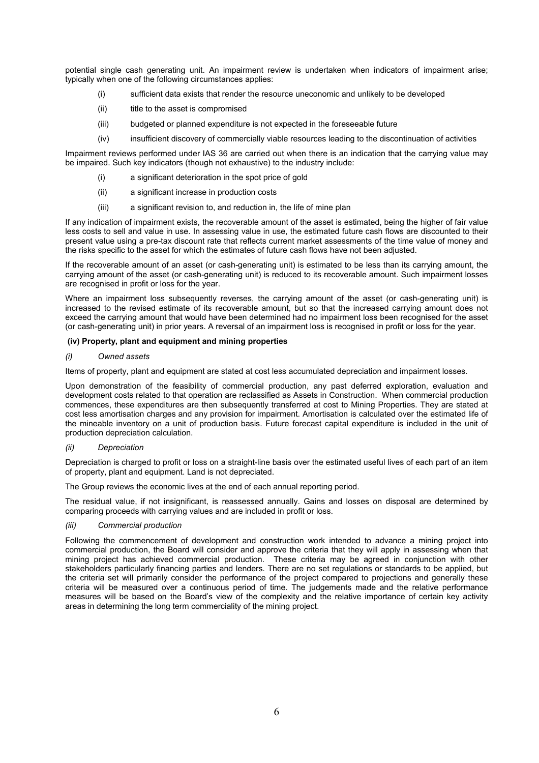potential single cash generating unit. An impairment review is undertaken when indicators of impairment arise; typically when one of the following circumstances applies:

- (i) sufficient data exists that render the resource uneconomic and unlikely to be developed
- (ii) title to the asset is compromised
- (iii) budgeted or planned expenditure is not expected in the foreseeable future
- (iv) insufficient discovery of commercially viable resources leading to the discontinuation of activities

Impairment reviews performed under IAS 36 are carried out when there is an indication that the carrying value may be impaired. Such key indicators (though not exhaustive) to the industry include:

- a significant deterioration in the spot price of gold
- (ii) a significant increase in production costs
- (iii) a significant revision to, and reduction in, the life of mine plan

If any indication of impairment exists, the recoverable amount of the asset is estimated, being the higher of fair value less costs to sell and value in use. In assessing value in use, the estimated future cash flows are discounted to their present value using a pre-tax discount rate that reflects current market assessments of the time value of money and the risks specific to the asset for which the estimates of future cash flows have not been adjusted.

If the recoverable amount of an asset (or cash-generating unit) is estimated to be less than its carrying amount, the carrying amount of the asset (or cash-generating unit) is reduced to its recoverable amount. Such impairment losses are recognised in profit or loss for the year.

Where an impairment loss subsequently reverses, the carrying amount of the asset (or cash-generating unit) is increased to the revised estimate of its recoverable amount, but so that the increased carrying amount does not exceed the carrying amount that would have been determined had no impairment loss been recognised for the asset (or cash-generating unit) in prior years. A reversal of an impairment loss is recognised in profit or loss for the year.

### **(iv) Property, plant and equipment and mining properties**

### *(i) Owned assets*

Items of property, plant and equipment are stated at cost less accumulated depreciation and impairment losses.

Upon demonstration of the feasibility of commercial production, any past deferred exploration, evaluation and development costs related to that operation are reclassified as Assets in Construction. When commercial production commences, these expenditures are then subsequently transferred at cost to Mining Properties. They are stated at cost less amortisation charges and any provision for impairment. Amortisation is calculated over the estimated life of the mineable inventory on a unit of production basis. Future forecast capital expenditure is included in the unit of production depreciation calculation.

#### *(ii) Depreciation*

Depreciation is charged to profit or loss on a straight-line basis over the estimated useful lives of each part of an item of property, plant and equipment. Land is not depreciated.

The Group reviews the economic lives at the end of each annual reporting period.

The residual value, if not insignificant, is reassessed annually. Gains and losses on disposal are determined by comparing proceeds with carrying values and are included in profit or loss.

### *(iii) Commercial production*

Following the commencement of development and construction work intended to advance a mining project into commercial production, the Board will consider and approve the criteria that they will apply in assessing when that mining project has achieved commercial production. These criteria may be agreed in conjunction with other stakeholders particularly financing parties and lenders. There are no set regulations or standards to be applied, but the criteria set will primarily consider the performance of the project compared to projections and generally these criteria will be measured over a continuous period of time. The judgements made and the relative performance measures will be based on the Board's view of the complexity and the relative importance of certain key activity areas in determining the long term commerciality of the mining project.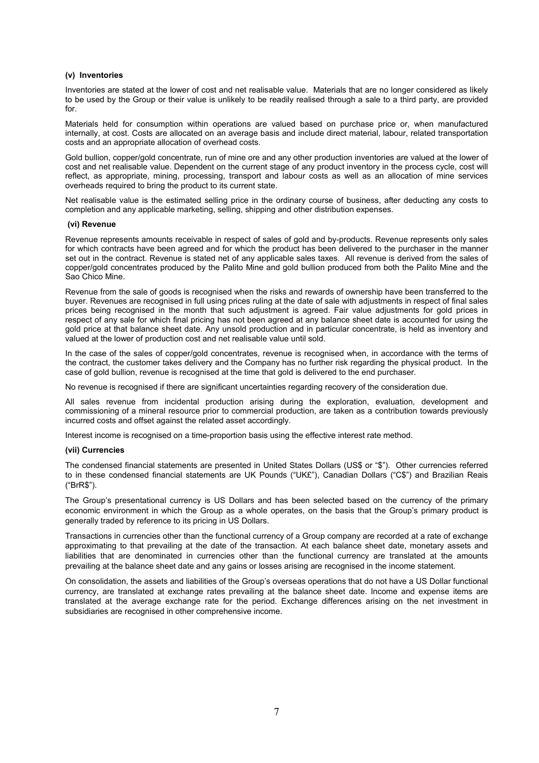### **(v) Inventories**

Inventories are stated at the lower of cost and net realisable value. Materials that are no longer considered as likely to be used by the Group or their value is unlikely to be readily realised through a sale to a third party, are provided for.

Materials held for consumption within operations are valued based on purchase price or, when manufactured internally, at cost. Costs are allocated on an average basis and include direct material, labour, related transportation costs and an appropriate allocation of overhead costs.

Gold bullion, copper/gold concentrate, run of mine ore and any other production inventories are valued at the lower of cost and net realisable value. Dependent on the current stage of any product inventory in the process cycle, cost will reflect, as appropriate, mining, processing, transport and labour costs as well as an allocation of mine services overheads required to bring the product to its current state.

Net realisable value is the estimated selling price in the ordinary course of business, after deducting any costs to completion and any applicable marketing, selling, shipping and other distribution expenses.

### **(vi) Revenue**

Revenue represents amounts receivable in respect of sales of gold and by-products. Revenue represents only sales for which contracts have been agreed and for which the product has been delivered to the purchaser in the manner set out in the contract. Revenue is stated net of any applicable sales taxes. All revenue is derived from the sales of copper/gold concentrates produced by the Palito Mine and gold bullion produced from both the Palito Mine and the Sao Chico Mine.

Revenue from the sale of goods is recognised when the risks and rewards of ownership have been transferred to the buyer. Revenues are recognised in full using prices ruling at the date of sale with adjustments in respect of final sales prices being recognised in the month that such adjustment is agreed. Fair value adjustments for gold prices in respect of any sale for which final pricing has not been agreed at any balance sheet date is accounted for using the gold price at that balance sheet date. Any unsold production and in particular concentrate, is held as inventory and valued at the lower of production cost and net realisable value until sold.

In the case of the sales of copper/gold concentrates, revenue is recognised when, in accordance with the terms of the contract, the customer takes delivery and the Company has no further risk regarding the physical product. In the case of gold bullion, revenue is recognised at the time that gold is delivered to the end purchaser.

No revenue is recognised if there are significant uncertainties regarding recovery of the consideration due.

All sales revenue from incidental production arising during the exploration, evaluation, development and commissioning of a mineral resource prior to commercial production, are taken as a contribution towards previously incurred costs and offset against the related asset accordingly.

Interest income is recognised on a time-proportion basis using the effective interest rate method.

### **(vii) Currencies**

The condensed financial statements are presented in United States Dollars (US\$ or "\$"). Other currencies referred to in these condensed financial statements are UK Pounds ("UK£"), Canadian Dollars ("C\$") and Brazilian Reais ("BrR\$").

The Group's presentational currency is US Dollars and has been selected based on the currency of the primary economic environment in which the Group as a whole operates, on the basis that the Group's primary product is generally traded by reference to its pricing in US Dollars.

Transactions in currencies other than the functional currency of a Group company are recorded at a rate of exchange approximating to that prevailing at the date of the transaction. At each balance sheet date, monetary assets and liabilities that are denominated in currencies other than the functional currency are translated at the amounts prevailing at the balance sheet date and any gains or losses arising are recognised in the income statement.

On consolidation, the assets and liabilities of the Group's overseas operations that do not have a US Dollar functional currency, are translated at exchange rates prevailing at the balance sheet date. Income and expense items are translated at the average exchange rate for the period. Exchange differences arising on the net investment in subsidiaries are recognised in other comprehensive income.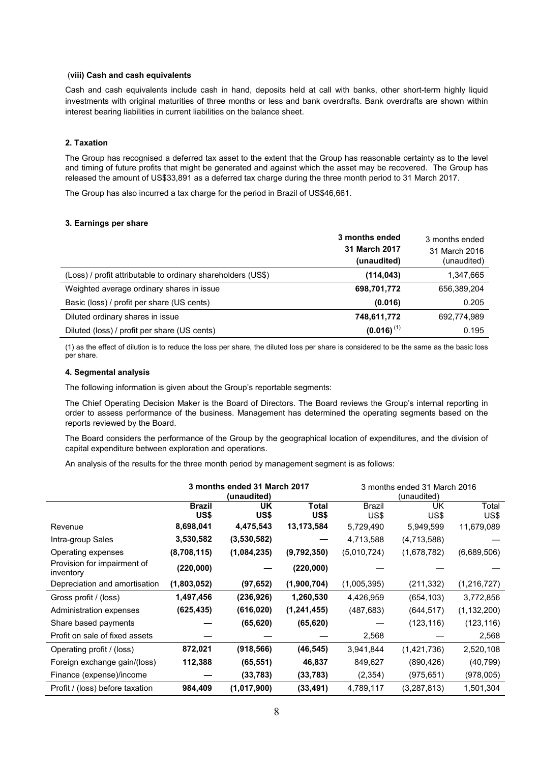### (**viii) Cash and cash equivalents**

Cash and cash equivalents include cash in hand, deposits held at call with banks, other short-term highly liquid investments with original maturities of three months or less and bank overdrafts. Bank overdrafts are shown within interest bearing liabilities in current liabilities on the balance sheet.

### **2. Taxation**

The Group has recognised a deferred tax asset to the extent that the Group has reasonable certainty as to the level and timing of future profits that might be generated and against which the asset may be recovered. The Group has released the amount of US\$33,891 as a deferred tax charge during the three month period to 31 March 2017.

The Group has also incurred a tax charge for the period in Brazil of US\$46,661.

# **3. Earnings per share**

|                                                              | 3 months ended<br>31 March 2017<br>(unaudited) | 3 months ended<br>31 March 2016<br>(unaudited) |
|--------------------------------------------------------------|------------------------------------------------|------------------------------------------------|
| (Loss) / profit attributable to ordinary shareholders (US\$) | (114, 043)                                     | 1,347,665                                      |
| Weighted average ordinary shares in issue                    | 698,701,772                                    | 656,389,204                                    |
| Basic (loss) / profit per share (US cents)                   | (0.016)                                        | 0.205                                          |
| Diluted ordinary shares in issue                             | 748,611,772                                    | 692,774,989                                    |
| Diluted (loss) / profit per share (US cents)                 | $(0.016)^{(1)}$                                | 0.195                                          |

(1) as the effect of dilution is to reduce the loss per share, the diluted loss per share is considered to be the same as the basic loss per share.

## **4. Segmental analysis**

The following information is given about the Group's reportable segments:

The Chief Operating Decision Maker is the Board of Directors. The Board reviews the Group's internal reporting in order to assess performance of the business. Management has determined the operating segments based on the reports reviewed by the Board.

The Board considers the performance of the Group by the geographical location of expenditures, and the division of capital expenditure between exploration and operations.

An analysis of the results for the three month period by management segment is as follows:

|                                          | 3 months ended 31 March 2017<br>(unaudited) |             |                      | 3 months ended 31 March 2016<br>(unaudited) |             |               |
|------------------------------------------|---------------------------------------------|-------------|----------------------|---------------------------------------------|-------------|---------------|
|                                          | <b>Brazil</b><br>US\$                       | UK<br>US\$  | <b>Total</b><br>US\$ | <b>Brazil</b><br>US\$                       | UK<br>US\$  | Total<br>US\$ |
| Revenue                                  | 8,698,041                                   | 4,475,543   | 13,173,584           | 5,729,490                                   | 5,949,599   | 11,679,089    |
| Intra-group Sales                        | 3,530,582                                   | (3,530,582) |                      | 4,713,588                                   | (4,713,588) |               |
| Operating expenses                       | (8,708,115)                                 | (1,084,235) | (9,792,350)          | (5,010,724)                                 | (1,678,782) | (6,689,506)   |
| Provision for impairment of<br>inventory | (220,000)                                   |             | (220,000)            |                                             |             |               |
| Depreciation and amortisation            | (1,803,052)                                 | (97, 652)   | (1,900,704)          | (1,005,395)                                 | (211, 332)  | (1, 216, 727) |
| Gross profit / (loss)                    | 1,497,456                                   | (236,926)   | 1,260,530            | 4,426,959                                   | (654, 103)  | 3,772,856     |
| Administration expenses                  | (625, 435)                                  | (616, 020)  | (1, 241, 455)        | (487, 683)                                  | (644, 517)  | (1, 132, 200) |
| Share based payments                     |                                             | (65, 620)   | (65, 620)            |                                             | (123, 116)  | (123, 116)    |
| Profit on sale of fixed assets           |                                             |             |                      | 2,568                                       |             | 2,568         |
| Operating profit / (loss)                | 872,021                                     | (918, 566)  | (46, 545)            | 3,941,844                                   | (1,421,736) | 2,520,108     |
| Foreign exchange gain/(loss)             | 112,388                                     | (65, 551)   | 46,837               | 849,627                                     | (890, 426)  | (40, 799)     |
| Finance (expense)/income                 |                                             | (33, 783)   | (33, 783)            | (2,354)                                     | (975,651)   | (978,005)     |
| Profit / (loss) before taxation          | 984,409                                     | (1,017,900) | (33, 491)            | 4,789,117                                   | (3,287,813) | 1,501,304     |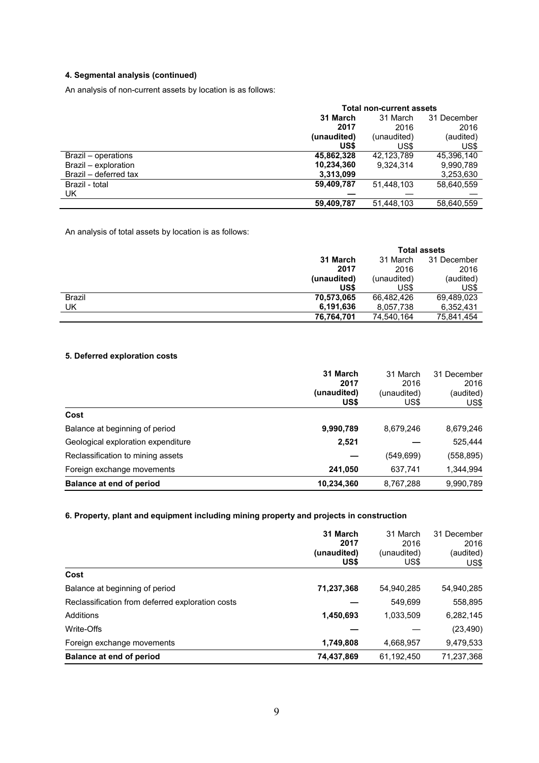# **4. Segmental analysis (continued)**

An analysis of non-current assets by location is as follows:

|                       | <b>Total non-current assets</b> |             |             |  |
|-----------------------|---------------------------------|-------------|-------------|--|
|                       | 31 March                        | 31 March    | 31 December |  |
|                       | 2017                            | 2016        | 2016        |  |
|                       | (unaudited)                     | (unaudited) | (audited)   |  |
|                       | US\$                            | US\$        | US\$        |  |
| Brazil – operations   | 45,862,328                      | 42.123.789  | 45,396,140  |  |
| Brazil - exploration  | 10,234,360                      | 9.324.314   | 9,990,789   |  |
| Brazil - deferred tax | 3,313,099                       |             | 3,253,630   |  |
| Brazil - total        | 59,409,787                      | 51,448,103  | 58,640,559  |  |
| UK                    |                                 |             |             |  |
|                       | 59,409,787                      | 51,448,103  | 58,640,559  |  |

An analysis of total assets by location is as follows:

|               |             | <b>Total assets</b> |             |  |
|---------------|-------------|---------------------|-------------|--|
|               | 31 March    | 31 March            | 31 December |  |
|               | 2017        | 2016                | 2016        |  |
|               | (unaudited) | (unaudited)         | (audited)   |  |
|               | US\$        | US\$                | US\$        |  |
| <b>Brazil</b> | 70,573,065  | 66,482,426          | 69,489,023  |  |
| UK            | 6,191,636   | 8,057,738           | 6,352,431   |  |
|               | 76,764,701  | 74,540,164          | 75,841,454  |  |

# **5. Deferred exploration costs**

|                                    | 31 March<br>2017<br>(unaudited)<br>US\$ | 31 March<br>2016<br>(unaudited)<br>US\$ | 31 December<br>2016<br>(audited)<br>US\$ |
|------------------------------------|-----------------------------------------|-----------------------------------------|------------------------------------------|
| Cost                               |                                         |                                         |                                          |
| Balance at beginning of period     | 9,990,789                               | 8,679,246                               | 8,679,246                                |
| Geological exploration expenditure | 2,521                                   |                                         | 525,444                                  |
| Reclassification to mining assets  |                                         | (549,699)                               | (558, 895)                               |
| Foreign exchange movements         | 241,050                                 | 637,741                                 | 1,344,994                                |
| Balance at end of period           | 10,234,360                              | 8,767,288                               | 9,990,789                                |

# **6. Property, plant and equipment including mining property and projects in construction**

|                                                  | 31 March<br>2017<br>(unaudited)<br>US\$ | 31 March<br>2016<br>(unaudited)<br>US\$ | 31 December<br>2016<br>(audited)<br>US\$ |
|--------------------------------------------------|-----------------------------------------|-----------------------------------------|------------------------------------------|
| Cost                                             |                                         |                                         |                                          |
| Balance at beginning of period                   | 71,237,368                              | 54.940.285                              | 54,940,285                               |
| Reclassification from deferred exploration costs |                                         | 549.699                                 | 558,895                                  |
| Additions                                        | 1,450,693                               | 1,033,509                               | 6,282,145                                |
| Write-Offs                                       |                                         |                                         | (23, 490)                                |
| Foreign exchange movements                       | 1,749,808                               | 4,668,957                               | 9,479,533                                |
| Balance at end of period                         | 74,437,869                              | 61,192,450                              | 71,237,368                               |
|                                                  |                                         |                                         |                                          |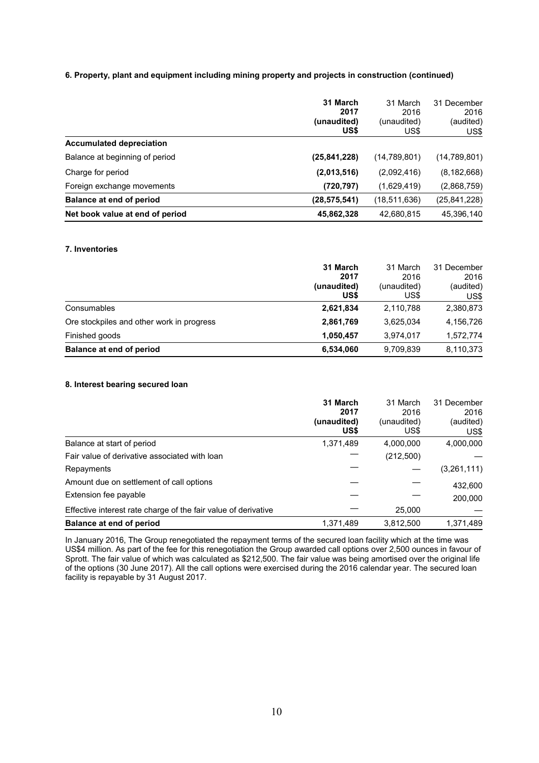# **6. Property, plant and equipment including mining property and projects in construction (continued)**

|                                 | 31 March<br>2017<br>(unaudited)<br>US\$ | 31 March<br>2016<br>(unaudited)<br>US\$ | 31 December<br>2016<br>(audited)<br>US\$ |
|---------------------------------|-----------------------------------------|-----------------------------------------|------------------------------------------|
| <b>Accumulated depreciation</b> |                                         |                                         |                                          |
| Balance at beginning of period  | (25, 841, 228)                          | (14,789,801)                            | (14,789,801)                             |
| Charge for period               | (2,013,516)                             | (2,092,416)                             | (8, 182, 668)                            |
| Foreign exchange movements      | (720, 797)                              | (1,629,419)                             | (2,868,759)                              |
| Balance at end of period        | (28, 575, 541)                          | (18, 511, 636)                          | (25, 841, 228)                           |
| Net book value at end of period | 45,862,328                              | 42,680,815                              | 45,396,140                               |

# **7. Inventories**

|                                           | 31 March<br>2017<br>(unaudited) | 31 March<br>2016<br>(unaudited) | 31 December<br>2016<br>(audited) |
|-------------------------------------------|---------------------------------|---------------------------------|----------------------------------|
|                                           | US\$                            | US\$                            | US\$                             |
| Consumables                               | 2,621,834                       | 2,110,788                       | 2,380,873                        |
| Ore stockpiles and other work in progress | 2,861,769                       | 3.625.034                       | 4,156,726                        |
| Finished goods                            | 1.050.457                       | 3.974.017                       | 1,572,774                        |
| Balance at end of period                  | 6,534,060                       | 9,709,839                       | 8,110,373                        |

# **8. Interest bearing secured loan**

|                                                                | 31 March    | 31 March    | 31 December |
|----------------------------------------------------------------|-------------|-------------|-------------|
|                                                                | 2017        | 2016        | 2016        |
|                                                                | (unaudited) | (unaudited) | (audited)   |
|                                                                | US\$        | US\$        | US\$        |
| Balance at start of period                                     | 1,371,489   | 4,000,000   | 4,000,000   |
| Fair value of derivative associated with loan                  |             | (212,500)   |             |
| Repayments                                                     |             |             | (3,261,111) |
| Amount due on settlement of call options                       |             |             | 432,600     |
| Extension fee payable                                          |             |             | 200,000     |
| Effective interest rate charge of the fair value of derivative |             | 25,000      |             |
| Balance at end of period                                       | 1,371,489   | 3,812,500   | 1,371,489   |

In January 2016, The Group renegotiated the repayment terms of the secured loan facility which at the time was US\$4 million. As part of the fee for this renegotiation the Group awarded call options over 2,500 ounces in favour of Sprott. The fair value of which was calculated as \$212,500. The fair value was being amortised over the original life of the options (30 June 2017). All the call options were exercised during the 2016 calendar year. The secured loan facility is repayable by 31 August 2017.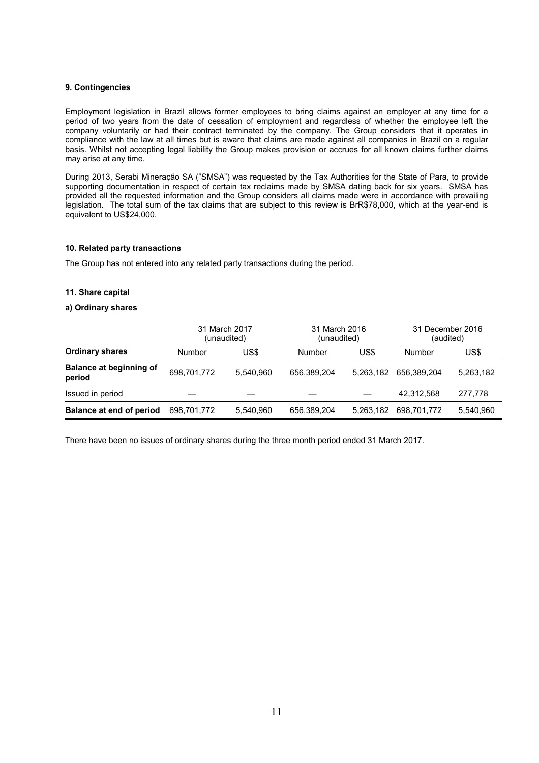### **9. Contingencies**

Employment legislation in Brazil allows former employees to bring claims against an employer at any time for a period of two years from the date of cessation of employment and regardless of whether the employee left the company voluntarily or had their contract terminated by the company. The Group considers that it operates in compliance with the law at all times but is aware that claims are made against all companies in Brazil on a regular basis. Whilst not accepting legal liability the Group makes provision or accrues for all known claims further claims may arise at any time.

During 2013, Serabi Mineração SA ("SMSA") was requested by the Tax Authorities for the State of Para, to provide supporting documentation in respect of certain tax reclaims made by SMSA dating back for six years. SMSA has provided all the requested information and the Group considers all claims made were in accordance with prevailing legislation. The total sum of the tax claims that are subject to this review is BrR\$78,000, which at the year-end is equivalent to US\$24,000.

### **10. Related party transactions**

The Group has not entered into any related party transactions during the period.

### **11. Share capital**

### **a) Ordinary shares**

|                                          |             | 31 March 2017<br>(unaudited) | 31 March 2016<br>(unaudited) |           | 31 December 2016<br>(audited) |           |
|------------------------------------------|-------------|------------------------------|------------------------------|-----------|-------------------------------|-----------|
| <b>Ordinary shares</b>                   | Number      | US\$                         | Number                       | US\$      | Number                        | US\$      |
| <b>Balance at beginning of</b><br>period | 698,701,772 | 5.540.960                    | 656.389.204                  | 5.263.182 | 656.389.204                   | 5,263,182 |
| Issued in period                         |             |                              |                              |           | 42,312,568                    | 277,778   |
| Balance at end of period                 | 698.701.772 | 5,540,960                    | 656,389,204                  | 5,263,182 | 698.701.772                   | 5,540,960 |

There have been no issues of ordinary shares during the three month period ended 31 March 2017.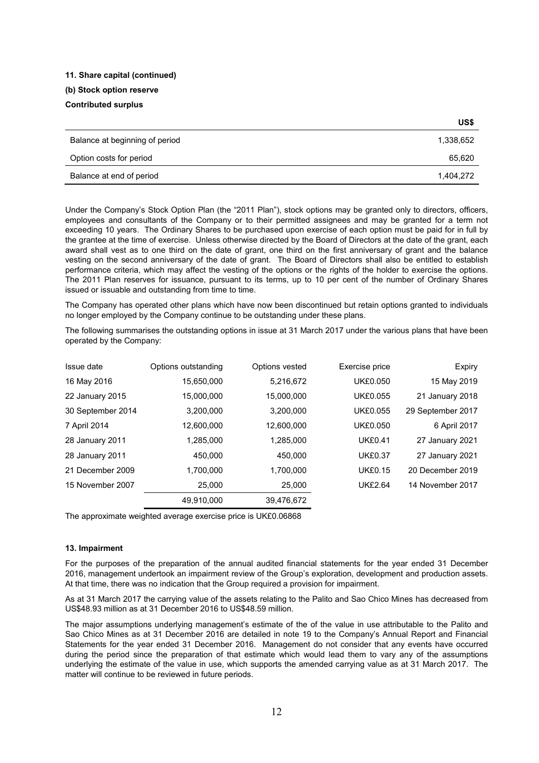# **11. Share capital (continued)**

# **(b) Stock option reserve**

# **Contributed surplus**

|                                | US\$      |
|--------------------------------|-----------|
| Balance at beginning of period | 1,338,652 |
| Option costs for period        | 65,620    |
| Balance at end of period       | 1,404,272 |

Under the Company's Stock Option Plan (the "2011 Plan"), stock options may be granted only to directors, officers, employees and consultants of the Company or to their permitted assignees and may be granted for a term not exceeding 10 years. The Ordinary Shares to be purchased upon exercise of each option must be paid for in full by the grantee at the time of exercise. Unless otherwise directed by the Board of Directors at the date of the grant, each award shall vest as to one third on the date of grant, one third on the first anniversary of grant and the balance vesting on the second anniversary of the date of grant. The Board of Directors shall also be entitled to establish performance criteria, which may affect the vesting of the options or the rights of the holder to exercise the options. The 2011 Plan reserves for issuance, pursuant to its terms, up to 10 per cent of the number of Ordinary Shares issued or issuable and outstanding from time to time.

The Company has operated other plans which have now been discontinued but retain options granted to individuals no longer employed by the Company continue to be outstanding under these plans.

The following summarises the outstanding options in issue at 31 March 2017 under the various plans that have been operated by the Company:

| Issue date        | Options outstanding | Options vested | Exercise price  | Expiry            |
|-------------------|---------------------|----------------|-----------------|-------------------|
| 16 May 2016       | 15,650,000          | 5,216,672      | <b>UK£0.050</b> | 15 May 2019       |
| 22 January 2015   | 15,000,000          | 15,000,000     | <b>UK£0.055</b> | 21 January 2018   |
| 30 September 2014 | 3,200,000           | 3,200,000      | UK£0.055        | 29 September 2017 |
| 7 April 2014      | 12,600,000          | 12,600,000     | <b>UK£0.050</b> | 6 April 2017      |
| 28 January 2011   | 1.285.000           | 1,285,000      | <b>UK£0.41</b>  | 27 January 2021   |
| 28 January 2011   | 450,000             | 450.000        | <b>UK£0.37</b>  | 27 January 2021   |
| 21 December 2009  | 1.700.000           | 1.700.000      | <b>UK£0.15</b>  | 20 December 2019  |
| 15 November 2007  | 25,000              | 25,000         | <b>UK£2.64</b>  | 14 November 2017  |
|                   | 49.910.000          | 39.476.672     |                 |                   |

The approximate weighted average exercise price is UK£0.06868

# **13. Impairment**

For the purposes of the preparation of the annual audited financial statements for the year ended 31 December 2016, management undertook an impairment review of the Group's exploration, development and production assets. At that time, there was no indication that the Group required a provision for impairment.

As at 31 March 2017 the carrying value of the assets relating to the Palito and Sao Chico Mines has decreased from US\$48.93 million as at 31 December 2016 to US\$48.59 million.

The major assumptions underlying management's estimate of the of the value in use attributable to the Palito and Sao Chico Mines as at 31 December 2016 are detailed in note 19 to the Company's Annual Report and Financial Statements for the year ended 31 December 2016. Management do not consider that any events have occurred during the period since the preparation of that estimate which would lead them to vary any of the assumptions underlying the estimate of the value in use, which supports the amended carrying value as at 31 March 2017. The matter will continue to be reviewed in future periods.